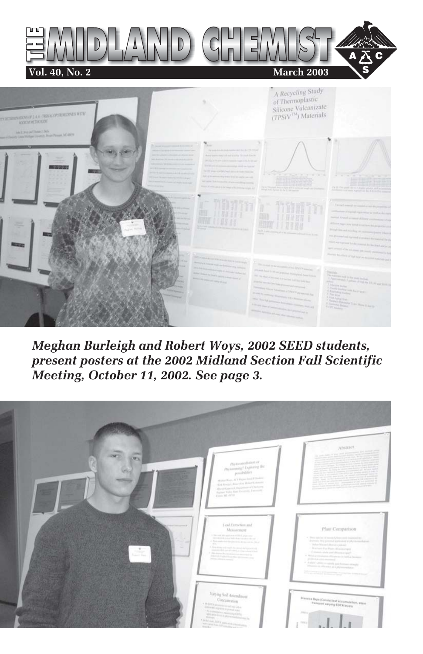

*Meghan Burleigh and Robert Woys, 2002 SEED students, present posters at the 2002 Midland Section Fall Scientific Meeting, October 11, 2002. See page 3.*

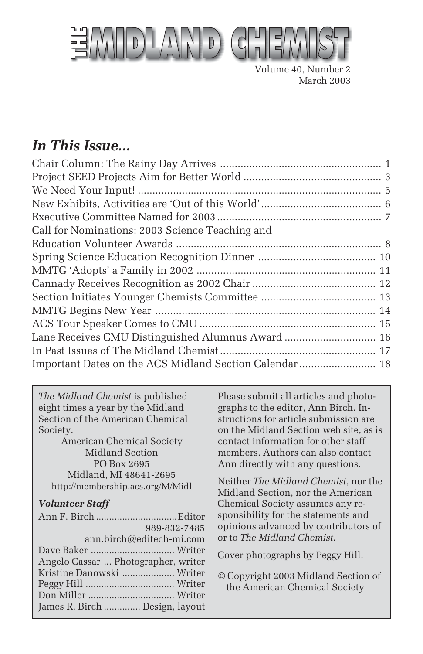

Volume 40, Number 2 March 2003

## *In This Issue...*

| Lane Receives CMU Distinguished Alumnus Award  16       |
|---------------------------------------------------------|
|                                                         |
| Important Dates on the ACS Midland Section Calendar  18 |
|                                                         |

*The Midland Chemist* is published eight times a year by the Midland Section of the American Chemical Society.

American Chemical Society Midland Section PO Box 2695 Midland, MI 48641-2695 http://membership.acs.org/M/Midl

#### *Volunteer Staff*

|                                     | 989-832-7485 |
|-------------------------------------|--------------|
| ann.birch@editech-mi.com            |              |
|                                     |              |
| Angelo Cassar  Photographer, writer |              |
| Kristine Danowski  Writer           |              |
|                                     |              |
|                                     |              |
| James R. Birch  Design, layout      |              |

Please submit all articles and photographs to the editor, Ann Birch. Instructions for article submission are on the Midland Section web site, as is contact information for other staff members. Authors can also contact Ann directly with any questions.

Neither *The Midland Chemist*, nor the Midland Section, nor the American Chemical Society assumes any responsibility for the statements and opinions advanced by contributors of or to *The Midland Chemist*.

Cover photographs by Peggy Hill.

© Copyright 2003 Midland Section of the American Chemical Society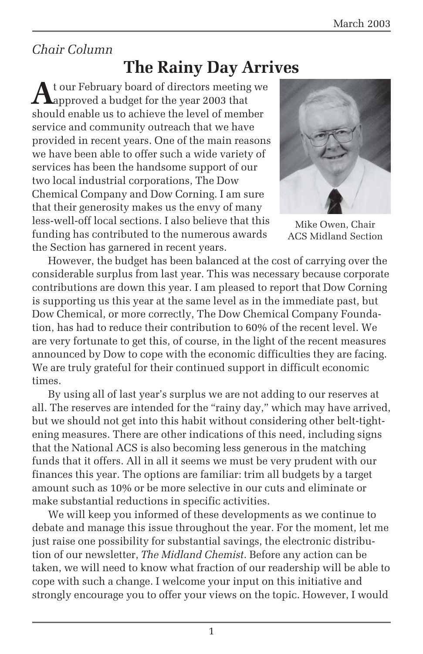## *Chair Column*

# **The Rainy Day Arrives**

**A**t our February board of directors meeting we approved a budget for the year 2003 that should enable us to achieve the level of member service and community outreach that we have provided in recent years. One of the main reasons we have been able to offer such a wide variety of services has been the handsome support of our two local industrial corporations, The Dow Chemical Company and Dow Corning. I am sure that their generosity makes us the envy of many less-well-off local sections. I also believe that this funding has contributed to the numerous awards the Section has garnered in recent years.



Mike Owen, Chair ACS Midland Section

However, the budget has been balanced at the cost of carrying over the considerable surplus from last year. This was necessary because corporate contributions are down this year. I am pleased to report that Dow Corning is supporting us this year at the same level as in the immediate past, but Dow Chemical, or more correctly, The Dow Chemical Company Foundation, has had to reduce their contribution to 60% of the recent level. We are very fortunate to get this, of course, in the light of the recent measures announced by Dow to cope with the economic difficulties they are facing. We are truly grateful for their continued support in difficult economic times.

By using all of last year's surplus we are not adding to our reserves at all. The reserves are intended for the "rainy day," which may have arrived, but we should not get into this habit without considering other belt-tightening measures. There are other indications of this need, including signs that the National ACS is also becoming less generous in the matching funds that it offers. All in all it seems we must be very prudent with our finances this year. The options are familiar: trim all budgets by a target amount such as 10% or be more selective in our cuts and eliminate or make substantial reductions in specific activities.

We will keep you informed of these developments as we continue to debate and manage this issue throughout the year. For the moment, let me just raise one possibility for substantial savings, the electronic distribution of our newsletter, *The Midland Chemist*. Before any action can be taken, we will need to know what fraction of our readership will be able to cope with such a change. I welcome your input on this initiative and strongly encourage you to offer your views on the topic. However, I would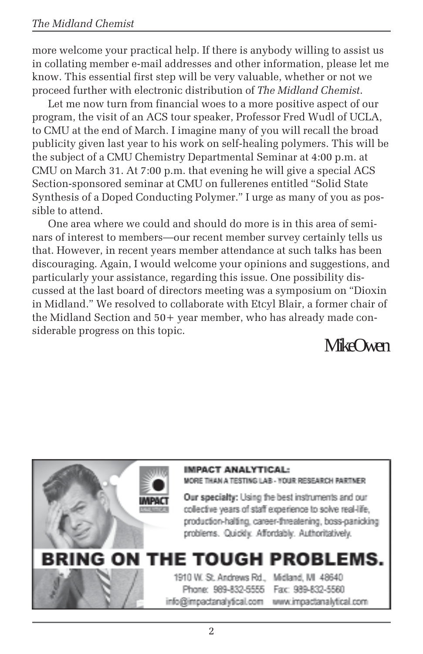more welcome your practical help. If there is anybody willing to assist us in collating member e-mail addresses and other information, please let me know. This essential first step will be very valuable, whether or not we proceed further with electronic distribution of *The Midland Chemist*.

Let me now turn from financial woes to a more positive aspect of our program, the visit of an ACS tour speaker, Professor Fred Wudl of UCLA, to CMU at the end of March. I imagine many of you will recall the broad publicity given last year to his work on self-healing polymers. This will be the subject of a CMU Chemistry Departmental Seminar at 4:00 p.m. at CMU on March 31. At 7:00 p.m. that evening he will give a special ACS Section-sponsored seminar at CMU on fullerenes entitled "Solid State Synthesis of a Doped Conducting Polymer." I urge as many of you as possible to attend.

One area where we could and should do more is in this area of seminars of interest to members—our recent member survey certainly tells us that. However, in recent years member attendance at such talks has been discouraging. Again, I would welcome your opinions and suggestions, and particularly your assistance, regarding this issue. One possibility discussed at the last board of directors meeting was a symposium on "Dioxin in Midland." We resolved to collaborate with Etcyl Blair, a former chair of the Midland Section and 50+ year member, who has already made considerable progress on this topic.

Mike Owen

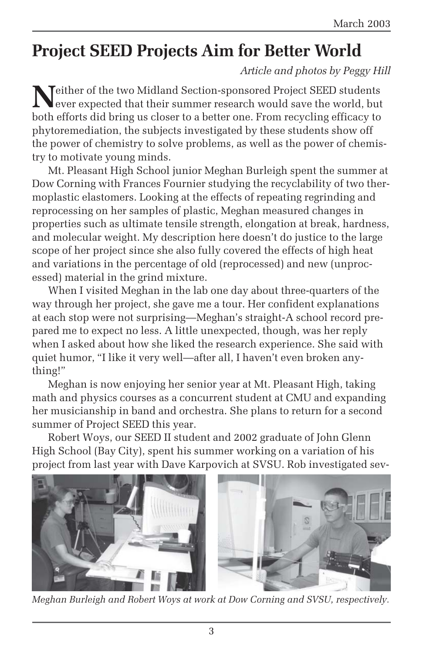# **Project SEED Projects Aim for Better World**

*Article and photos by Peggy Hill*

**N**either of the two Midland Section-sponsored Project SEED students<br>ever expected that their summer research would save the world, but both efforts did bring us closer to a better one. From recycling efficacy to phytoremediation, the subjects investigated by these students show off the power of chemistry to solve problems, as well as the power of chemistry to motivate young minds.

Mt. Pleasant High School junior Meghan Burleigh spent the summer at Dow Corning with Frances Fournier studying the recyclability of two thermoplastic elastomers. Looking at the effects of repeating regrinding and reprocessing on her samples of plastic, Meghan measured changes in properties such as ultimate tensile strength, elongation at break, hardness, and molecular weight. My description here doesn't do justice to the large scope of her project since she also fully covered the effects of high heat and variations in the percentage of old (reprocessed) and new (unprocessed) material in the grind mixture.

When I visited Meghan in the lab one day about three-quarters of the way through her project, she gave me a tour. Her confident explanations at each stop were not surprising—Meghan's straight-A school record prepared me to expect no less. A little unexpected, though, was her reply when I asked about how she liked the research experience. She said with quiet humor, "I like it very well—after all, I haven't even broken anything!"

Meghan is now enjoying her senior year at Mt. Pleasant High, taking math and physics courses as a concurrent student at CMU and expanding her musicianship in band and orchestra. She plans to return for a second summer of Project SEED this year.

Robert Woys, our SEED II student and 2002 graduate of John Glenn High School (Bay City), spent his summer working on a variation of his project from last year with Dave Karpovich at SVSU. Rob investigated sev-



*Meghan Burleigh and Robert Woys at work at Dow Corning and SVSU, respectively.*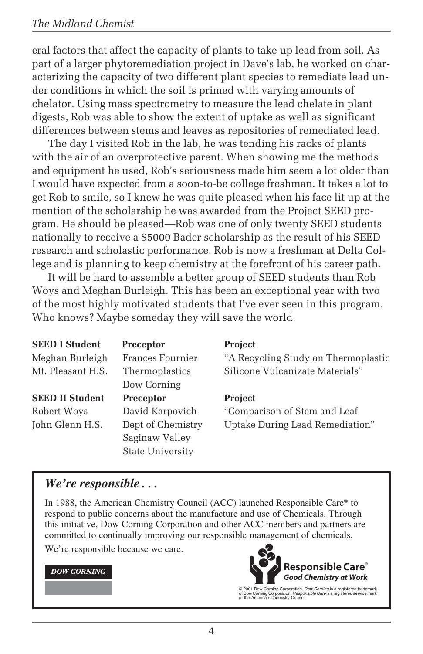eral factors that affect the capacity of plants to take up lead from soil. As part of a larger phytoremediation project in Dave's lab, he worked on characterizing the capacity of two different plant species to remediate lead under conditions in which the soil is primed with varying amounts of chelator. Using mass spectrometry to measure the lead chelate in plant digests, Rob was able to show the extent of uptake as well as significant differences between stems and leaves as repositories of remediated lead.

The day I visited Rob in the lab, he was tending his racks of plants with the air of an overprotective parent. When showing me the methods and equipment he used, Rob's seriousness made him seem a lot older than I would have expected from a soon-to-be college freshman. It takes a lot to get Rob to smile, so I knew he was quite pleased when his face lit up at the mention of the scholarship he was awarded from the Project SEED program. He should be pleased—Rob was one of only twenty SEED students nationally to receive a \$5000 Bader scholarship as the result of his SEED research and scholastic performance. Rob is now a freshman at Delta College and is planning to keep chemistry at the forefront of his career path.

It will be hard to assemble a better group of SEED students than Rob Woys and Meghan Burleigh. This has been an exceptional year with two of the most highly motivated students that I've ever seen in this program. Who knows? Maybe someday they will save the world.

| <b>SEED I Student</b>  | Preceptor         | <b>Project</b>                      |
|------------------------|-------------------|-------------------------------------|
| Meghan Burleigh        | Frances Fournier  | "A Recycling Study on Thermoplastic |
| Mt. Pleasant H.S.      | Thermoplastics    | Silicone Vulcanizate Materials"     |
|                        | Dow Corning       |                                     |
| <b>SEED II Student</b> | Preceptor         | <b>Project</b>                      |
| Robert Woys            | David Karpovich   | "Comparison of Stem and Leaf        |
| John Glenn H.S.        | Dept of Chemistry | Uptake During Lead Remediation"     |
|                        | Saginaw Valley    |                                     |
|                        | State University  |                                     |

#### *We're responsible . . .*

In 1988, the American Chemistry Council (ACC) launched Responsible Care® to respond to public concerns about the manufacture and use of Chemicals. Through this initiative, Dow Corning Corporation and other ACC members and partners are committed to continually improving our responsible management of chemicals.

We're responsible because we care.

#### **DOW CORNING**



© 2001 Dow Corning Corporation. *Dow Corning* is a registered trademark<br>of Dow Corning Corporation. *Responsible Care* is a registered service mark<br>of the American Chemistry Council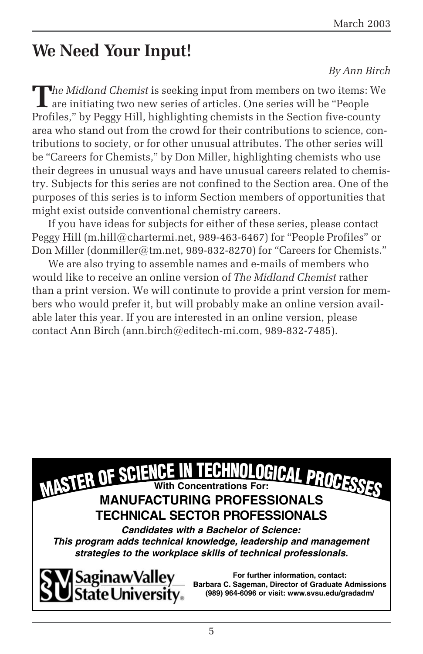# **We Need Your Input!**

#### *By Ann Birch*

**T**<br>The Midland Chemist is seeking input from members on two items: We<br>are initiating two next and the contract of the contract of the contract of the contract of the contract of the contract of the contract of the contrac are initiating two new series of articles. One series will be "People Profiles," by Peggy Hill, highlighting chemists in the Section five-county area who stand out from the crowd for their contributions to science, contributions to society, or for other unusual attributes. The other series will be "Careers for Chemists," by Don Miller, highlighting chemists who use their degrees in unusual ways and have unusual careers related to chemistry. Subjects for this series are not confined to the Section area. One of the purposes of this series is to inform Section members of opportunities that might exist outside conventional chemistry careers.

If you have ideas for subjects for either of these series, please contact Peggy Hill (m.hill@chartermi.net, 989-463-6467) for "People Profiles" or Don Miller (donmiller@tm.net, 989-832-8270) for "Careers for Chemists."

We are also trying to assemble names and e-mails of members who would like to receive an online version of *The Midland Chemist* rather than a print version. We will continute to provide a print version for members who would prefer it, but will probably make an online version available later this year. If you are interested in an online version, please contact Ann Birch (ann.birch@editech-mi.com, 989-832-7485).

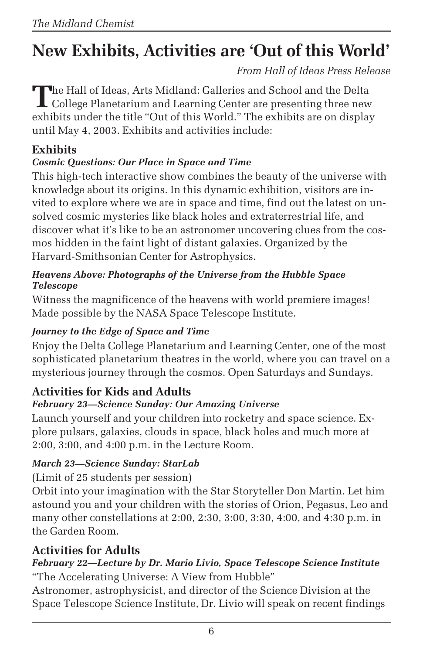# **New Exhibits, Activities are 'Out of this World'**

*From Hall of Ideas Press Release*

**T**he Hall of Ideas, Arts Midland: Galleries and School and the Delta College Planetarium and Learning Center are presenting three new exhibits under the title "Out of this World." The exhibits are on display until May 4, 2003. Exhibits and activities include:

### **Exhibits**

### *Cosmic Questions: Our Place in Space and Time*

This high-tech interactive show combines the beauty of the universe with knowledge about its origins. In this dynamic exhibition, visitors are invited to explore where we are in space and time, find out the latest on unsolved cosmic mysteries like black holes and extraterrestrial life, and discover what it's like to be an astronomer uncovering clues from the cosmos hidden in the faint light of distant galaxies. Organized by the Harvard-Smithsonian Center for Astrophysics.

#### *Heavens Above: Photographs of the Universe from the Hubble Space Telescope*

Witness the magnificence of the heavens with world premiere images! Made possible by the NASA Space Telescope Institute.

### *Journey to the Edge of Space and Time*

Enjoy the Delta College Planetarium and Learning Center, one of the most sophisticated planetarium theatres in the world, where you can travel on a mysterious journey through the cosmos. Open Saturdays and Sundays.

## **Activities for Kids and Adults**

### *February 23—Science Sunday: Our Amazing Universe*

Launch yourself and your children into rocketry and space science. Explore pulsars, galaxies, clouds in space, black holes and much more at 2:00, 3:00, and 4:00 p.m. in the Lecture Room.

### *March 23—Science Sunday: StarLab*

(Limit of 25 students per session)

Orbit into your imagination with the Star Storyteller Don Martin. Let him astound you and your children with the stories of Orion, Pegasus, Leo and many other constellations at 2:00, 2:30, 3:00, 3:30, 4:00, and 4:30 p.m. in the Garden Room.

## **Activities for Adults**

#### *February 22—Lecture by Dr. Mario Livio, Space Telescope Science Institute* "The Accelerating Universe: A View from Hubble"

Astronomer, astrophysicist, and director of the Science Division at the Space Telescope Science Institute, Dr. Livio will speak on recent findings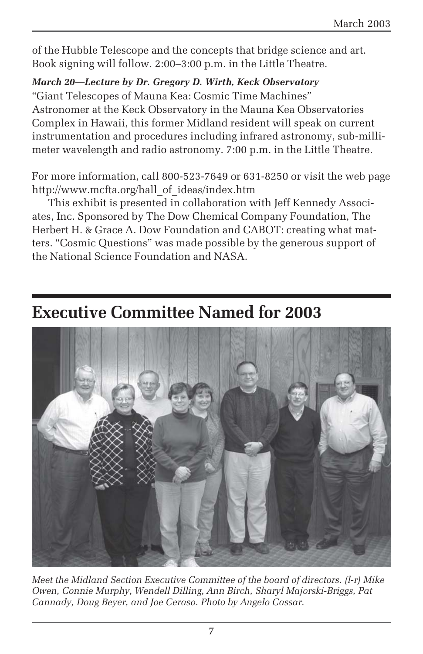of the Hubble Telescope and the concepts that bridge science and art. Book signing will follow. 2:00–3:00 p.m. in the Little Theatre.

*March 20—Lecture by Dr. Gregory D. Wirth, Keck Observatory*

"Giant Telescopes of Mauna Kea: Cosmic Time Machines" Astronomer at the Keck Observatory in the Mauna Kea Observatories Complex in Hawaii, this former Midland resident will speak on current instrumentation and procedures including infrared astronomy, sub-millimeter wavelength and radio astronomy. 7:00 p.m. in the Little Theatre.

For more information, call 800-523-7649 or 631-8250 or visit the web page http://www.mcfta.org/hall\_of\_ideas/index.htm

This exhibit is presented in collaboration with Jeff Kennedy Associates, Inc. Sponsored by The Dow Chemical Company Foundation, The Herbert H. & Grace A. Dow Foundation and CABOT: creating what matters. "Cosmic Questions" was made possible by the generous support of the National Science Foundation and NASA.

## **Executive Committee Named for 2003**



*Meet the Midland Section Executive Committee of the board of directors. (l-r) Mike Owen, Connie Murphy, Wendell Dilling, Ann Birch, Sharyl Majorski-Briggs, Pat Cannady, Doug Beyer, and Joe Ceraso. Photo by Angelo Cassar.*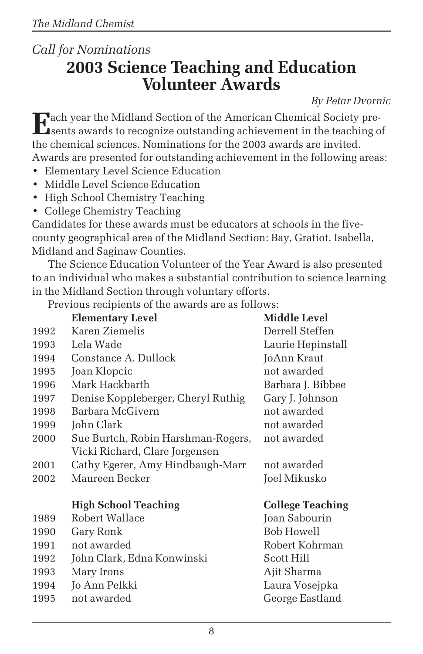## *Call for Nominations* **2003 Science Teaching and Education Volunteer Awards**

*By Petar Dvornic*

**E**ach year the Midland Section of the American Chemical Society presents awards to recognize outstanding achievement in the teaching of the chemical sciences. Nominations for the 2003 awards are invited. Awards are presented for outstanding achievement in the following areas:

- Elementary Level Science Education
- Middle Level Science Education
- High School Chemistry Teaching
- College Chemistry Teaching

Candidates for these awards must be educators at schools in the fivecounty geographical area of the Midland Section: Bay, Gratiot, Isabella, Midland and Saginaw Counties.

The Science Education Volunteer of the Year Award is also presented to an individual who makes a substantial contribution to science learning in the Midland Section through voluntary efforts.

Previous recipients of the awards are as follows:

|      | <b>Elementary Level</b>            | <b>Middle Level</b>     |
|------|------------------------------------|-------------------------|
| 1992 | Karen Ziemelis                     | Derrell Steffen         |
| 1993 | Lela Wade                          | Laurie Hepinstall       |
| 1994 | Constance A. Dullock               | JoAnn Kraut             |
| 1995 | Joan Klopcic                       | not awarded             |
| 1996 | Mark Hackbarth                     | Barbara J. Bibbee       |
| 1997 | Denise Koppleberger, Cheryl Ruthig | Gary J. Johnson         |
| 1998 | Barbara McGivern                   | not awarded             |
| 1999 | John Clark                         | not awarded             |
| 2000 | Sue Burtch, Robin Harshman-Rogers, | not awarded             |
|      | Vicki Richard, Clare Jorgensen     |                         |
| 2001 | Cathy Egerer, Amy Hindbaugh-Marr   | not awarded             |
| 2002 | Maureen Becker                     | Joel Mikusko            |
|      |                                    |                         |
|      |                                    |                         |
|      | <b>High School Teaching</b>        | <b>College Teaching</b> |
| 1989 | Robert Wallace                     | Joan Sabourin           |
| 1990 | Gary Ronk                          | <b>Bob Howell</b>       |
| 1991 | not awarded                        | Robert Kohrman          |
| 1992 | John Clark, Edna Konwinski         | Scott Hill              |
| 1993 | Mary Irons                         | Ajit Sharma             |
| 1994 | Jo Ann Pelkki                      | Laura Vosejpka          |
| 1995 | not awarded                        | George Eastland         |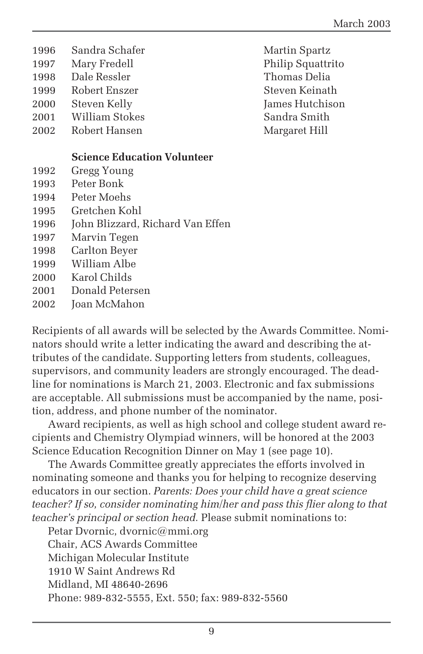- 1996 Sandra Schafer Martin Spartz 1997 Mary Fredell Philip Squattrito 1998 Dale Ressler Thomas Delia 1999 Robert Enszer Steven Keinath 2000 Steven Kelly James Hutchison 2001 William Stokes Sandra Smith 2002 Robert Hansen Margaret Hill **Science Education Volunteer**
- 1992 Gregg Young
- 1993 Peter Bonk
- 1994 Peter Moehs
- 1995 Gretchen Kohl
- 1996 John Blizzard, Richard Van Effen
- 1997 Marvin Tegen
- 1998 Carlton Beyer
- 1999 William Albe
- 2000 Karol Childs
- 2001 Donald Petersen
- 2002 Joan McMahon

Recipients of all awards will be selected by the Awards Committee. Nominators should write a letter indicating the award and describing the attributes of the candidate. Supporting letters from students, colleagues, supervisors, and community leaders are strongly encouraged. The deadline for nominations is March 21, 2003. Electronic and fax submissions are acceptable. All submissions must be accompanied by the name, position, address, and phone number of the nominator.

Award recipients, as well as high school and college student award recipients and Chemistry Olympiad winners, will be honored at the 2003 Science Education Recognition Dinner on May 1 (see page 10).

The Awards Committee greatly appreciates the efforts involved in nominating someone and thanks you for helping to recognize deserving educators in our section. *Parents: Does your child have a great science teacher? If so, consider nominating him/her and pass this flier along to that teacher's principal or section head.* Please submit nominations to:

Petar Dvornic, dvornic@mmi.org Chair, ACS Awards Committee Michigan Molecular Institute 1910 W Saint Andrews Rd Midland, MI 48640-2696 Phone: 989-832-5555, Ext. 550; fax: 989-832-5560

9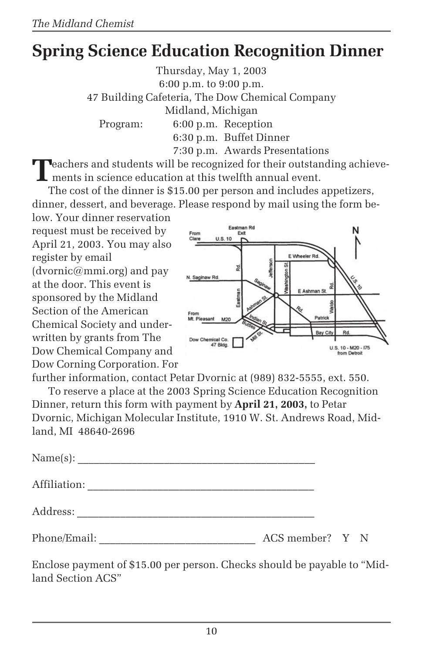# **Spring Science Education Recognition Dinner**

Thursday, May 1, 2003 6:00 p.m. to 9:00 p.m. 47 Building Cafeteria, The Dow Chemical Company Midland, Michigan Program: 6:00 p.m. Reception 6:30 p.m. Buffet Dinner 7:30 p.m. Awards Presentations

**T**eachers and students will be recognized for their outstanding achievements in science education at this twelfth annual event.

The cost of the dinner is \$15.00 per person and includes appetizers, dinner, dessert, and beverage. Please respond by mail using the form be-

low. Your dinner reservation request must be received by April 21, 2003. You may also register by email  $(d$ vornic $@$ mmi.org) and pay at the door. This event is sponsored by the Midland Section of the American Chemical Society and underwritten by grants from The Dow Chemical Company and Dow Corning Corporation. For



further information, contact Petar Dvornic at (989) 832-5555, ext. 550.

To reserve a place at the 2003 Spring Science Education Recognition Dinner, return this form with payment by **April 21, 2003,** to Petar Dvornic, Michigan Molecular Institute, 1910 W. St. Andrews Road, Midland, MI 48640-2696

| Affiliation: |                 |  |  |
|--------------|-----------------|--|--|
|              |                 |  |  |
| Phone/Email: | ACS member? Y N |  |  |

Enclose payment of \$15.00 per person. Checks should be payable to "Midland Section ACS"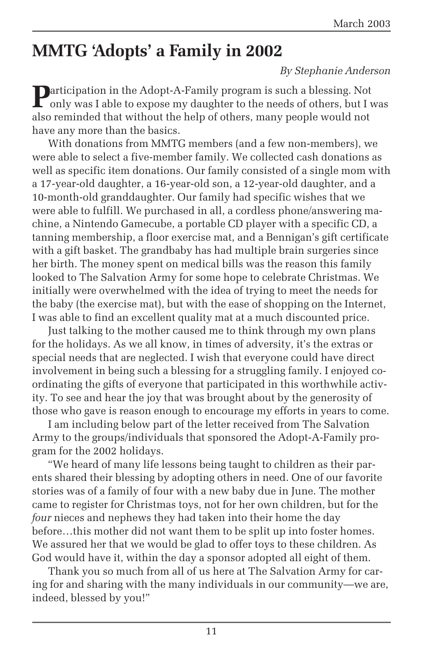# **MMTG 'Adopts' a Family in 2002**

#### *By Stephanie Anderson*

**Participation in the Adopt-A-Family program is such a blessing. Not** only was I able to expose my daughter to the needs of others, but I was also reminded that without the help of others, many people would not have any more than the basics.

With donations from MMTG members (and a few non-members), we were able to select a five-member family. We collected cash donations as well as specific item donations. Our family consisted of a single mom with a 17-year-old daughter, a 16-year-old son, a 12-year-old daughter, and a 10-month-old granddaughter. Our family had specific wishes that we were able to fulfill. We purchased in all, a cordless phone/answering machine, a Nintendo Gamecube, a portable CD player with a specific CD, a tanning membership, a floor exercise mat, and a Bennigan's gift certificate with a gift basket. The grandbaby has had multiple brain surgeries since her birth. The money spent on medical bills was the reason this family looked to The Salvation Army for some hope to celebrate Christmas. We initially were overwhelmed with the idea of trying to meet the needs for the baby (the exercise mat), but with the ease of shopping on the Internet, I was able to find an excellent quality mat at a much discounted price.

Just talking to the mother caused me to think through my own plans for the holidays. As we all know, in times of adversity, it's the extras or special needs that are neglected. I wish that everyone could have direct involvement in being such a blessing for a struggling family. I enjoyed coordinating the gifts of everyone that participated in this worthwhile activity. To see and hear the joy that was brought about by the generosity of those who gave is reason enough to encourage my efforts in years to come.

I am including below part of the letter received from The Salvation Army to the groups/individuals that sponsored the Adopt-A-Family program for the 2002 holidays.

"We heard of many life lessons being taught to children as their parents shared their blessing by adopting others in need. One of our favorite stories was of a family of four with a new baby due in June. The mother came to register for Christmas toys, not for her own children, but for the *four* nieces and nephews they had taken into their home the day before…this mother did not want them to be split up into foster homes. We assured her that we would be glad to offer toys to these children. As God would have it, within the day a sponsor adopted all eight of them.

Thank you so much from all of us here at The Salvation Army for caring for and sharing with the many individuals in our community—we are, indeed, blessed by you!"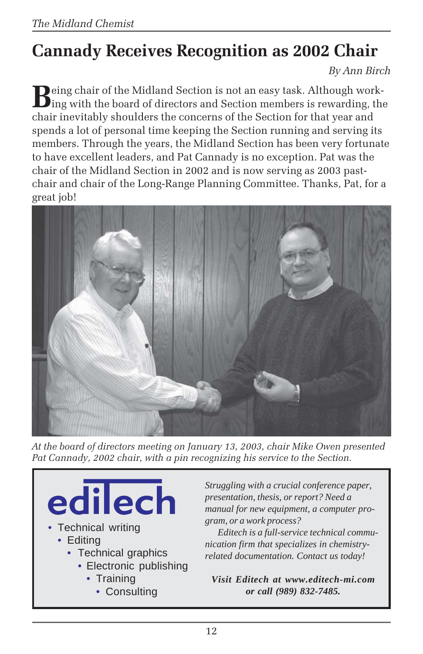# **Cannady Receives Recognition as 2002 Chair**

*By Ann Birch*

**D**eing chair of the Midland Section is not an easy task. Although work- $\Box$  ing with the board of directors and Section members is rewarding, the chair inevitably shoulders the concerns of the Section for that year and spends a lot of personal time keeping the Section running and serving its members. Through the years, the Midland Section has been very fortunate to have excellent leaders, and Pat Cannady is no exception. Pat was the chair of the Midland Section in 2002 and is now serving as 2003 pastchair and chair of the Long-Range Planning Committee. Thanks, Pat, for a great job!



*At the board of directors meeting on January 13, 2003, chair Mike Owen presented Pat Cannady, 2002 chair, with a pin recognizing his service to the Section.*

edilech • Technical writing • Editing • Technical graphics • Electronic publishing • Training • Consulting

*Struggling with a crucial conference paper, presentation, thesis, or report? Need a manual for new equipment, a computer program, or a work process?*

*Editech is a full-service technical communication firm that specializes in chemistryrelated documentation. Contact us today!*

*Visit Editech at www.editech-mi.com or call (989) 832-7485.*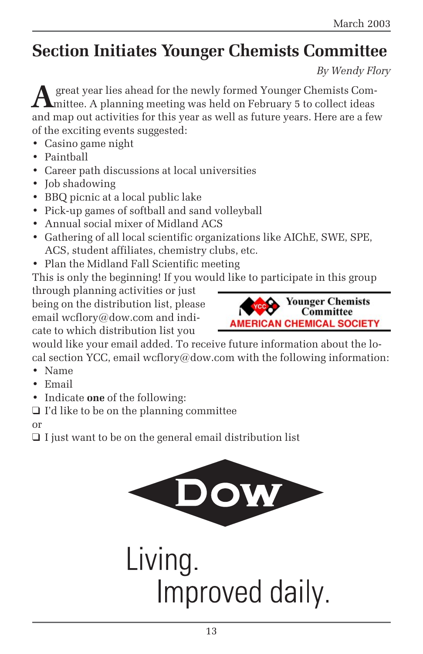# **Section Initiates Younger Chemists Committee**

*By Wendy Flory*

**A** great year lies ahead for the newly formed Younger Chemists Committee. A planning meeting was held on February 5 to collect ideas and map out activities for this year as well as future years. Here are a few of the exciting events suggested:

- Casino game night
- Paintball
- Career path discussions at local universities
- Job shadowing
- BBQ picnic at a local public lake
- Pick-up games of softball and sand volleyball
- Annual social mixer of Midland ACS
- Gathering of all local scientific organizations like AIChE, SWE, SPE, ACS, student affiliates, chemistry clubs, etc.
- Plan the Midland Fall Scientific meeting

This is only the beginning! If you would like to participate in this group

through planning activities or just being on the distribution list, please email wcflory@dow.com and indicate to which distribution list you



would like your email added. To receive future information about the local section YCC, email wcflory@dow.com with the following information:

- Name
- Email
- Indicate **one** of the following:
- ❑ I'd like to be on the planning committee

or

❑ I just want to be on the general email distribution list

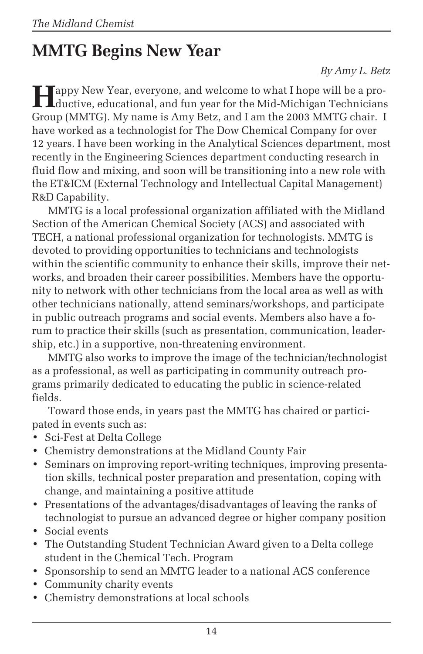# **MMTG Begins New Year**

*By Amy L. Betz*

**Happy New Year, everyone, and welcome to what I hope will be a pro-<br>ductive educational states of the set of the set of the set of the set of the set of the set of the set of the set** ductive, educational, and fun year for the Mid-Michigan Technicians Group (MMTG). My name is Amy Betz, and I am the 2003 MMTG chair. I have worked as a technologist for The Dow Chemical Company for over 12 years. I have been working in the Analytical Sciences department, most recently in the Engineering Sciences department conducting research in fluid flow and mixing, and soon will be transitioning into a new role with the ET&ICM (External Technology and Intellectual Capital Management) R&D Capability.

MMTG is a local professional organization affiliated with the Midland Section of the American Chemical Society (ACS) and associated with TECH, a national professional organization for technologists. MMTG is devoted to providing opportunities to technicians and technologists within the scientific community to enhance their skills, improve their networks, and broaden their career possibilities. Members have the opportunity to network with other technicians from the local area as well as with other technicians nationally, attend seminars/workshops, and participate in public outreach programs and social events. Members also have a forum to practice their skills (such as presentation, communication, leadership, etc.) in a supportive, non-threatening environment.

MMTG also works to improve the image of the technician/technologist as a professional, as well as participating in community outreach programs primarily dedicated to educating the public in science-related fields.

Toward those ends, in years past the MMTG has chaired or participated in events such as:

- Sci-Fest at Delta College
- Chemistry demonstrations at the Midland County Fair
- Seminars on improving report-writing techniques, improving presentation skills, technical poster preparation and presentation, coping with change, and maintaining a positive attitude
- Presentations of the advantages/disadvantages of leaving the ranks of technologist to pursue an advanced degree or higher company position
- Social events
- The Outstanding Student Technician Award given to a Delta college student in the Chemical Tech. Program
- Sponsorship to send an MMTG leader to a national ACS conference
- Community charity events
- Chemistry demonstrations at local schools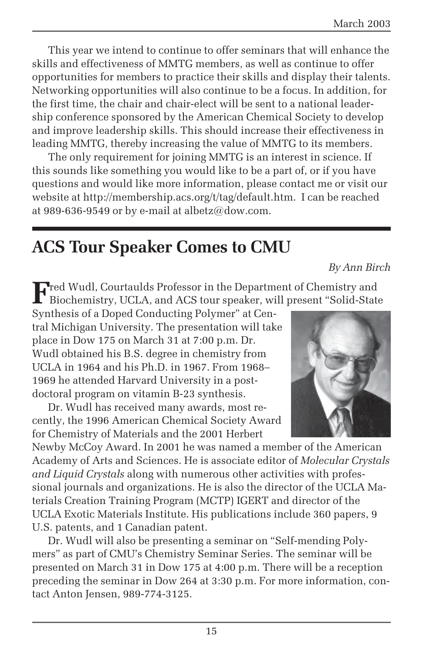This year we intend to continue to offer seminars that will enhance the skills and effectiveness of MMTG members, as well as continue to offer opportunities for members to practice their skills and display their talents. Networking opportunities will also continue to be a focus. In addition, for the first time, the chair and chair-elect will be sent to a national leadership conference sponsored by the American Chemical Society to develop and improve leadership skills. This should increase their effectiveness in leading MMTG, thereby increasing the value of MMTG to its members.

The only requirement for joining MMTG is an interest in science. If this sounds like something you would like to be a part of, or if you have questions and would like more information, please contact me or visit our website at http://membership.acs.org/t/tag/default.htm. I can be reached at 989-636-9549 or by e-mail at albetz@dow.com.

## **ACS Tour Speaker Comes to CMU**

*By Ann Birch*

**F**red Wudl, Courtaulds Professor in the Department of Chemistry and Biochemistry, UCLA, and ACS tour speaker, will present "Solid-State

Synthesis of a Doped Conducting Polymer" at Central Michigan University. The presentation will take place in Dow 175 on March 31 at 7:00 p.m. Dr. Wudl obtained his B.S. degree in chemistry from UCLA in 1964 and his Ph.D. in 1967. From 1968– 1969 he attended Harvard University in a postdoctoral program on vitamin B-23 synthesis.

Dr. Wudl has received many awards, most recently, the 1996 American Chemical Society Award for Chemistry of Materials and the 2001 Herbert



Newby McCoy Award. In 2001 he was named a member of the American Academy of Arts and Sciences. He is associate editor of *Molecular Crystals and Liquid Crystals* along with numerous other activities with professional journals and organizations. He is also the director of the UCLA Materials Creation Training Program (MCTP) IGERT and director of the UCLA Exotic Materials Institute. His publications include 360 papers, 9 U.S. patents, and 1 Canadian patent.

Dr. Wudl will also be presenting a seminar on "Self-mending Polymers" as part of CMU's Chemistry Seminar Series. The seminar will be presented on March 31 in Dow 175 at 4:00 p.m. There will be a reception preceding the seminar in Dow 264 at 3:30 p.m. For more information, contact Anton Jensen, 989-774-3125.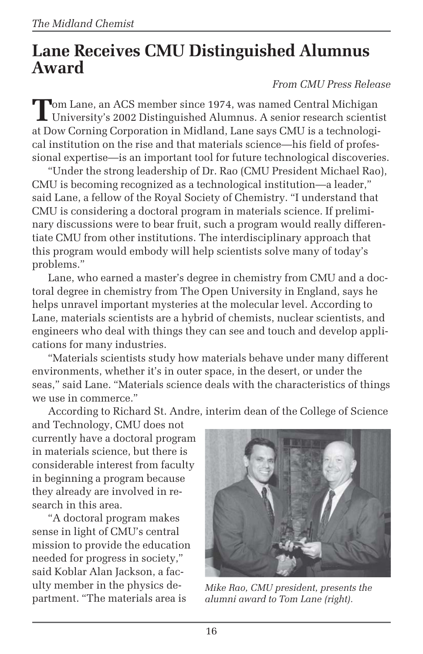## **Lane Receives CMU Distinguished Alumnus Award**

#### *From CMU Press Release*

**T**om Lane, an ACS member since 1974, was named Central Michigan University's 2002 Distinguished Alumnus. A senior research scientist at Dow Corning Corporation in Midland, Lane says CMU is a technological institution on the rise and that materials science—his field of professional expertise—is an important tool for future technological discoveries.

"Under the strong leadership of Dr. Rao (CMU President Michael Rao), CMU is becoming recognized as a technological institution—a leader," said Lane, a fellow of the Royal Society of Chemistry. "I understand that CMU is considering a doctoral program in materials science. If preliminary discussions were to bear fruit, such a program would really differentiate CMU from other institutions. The interdisciplinary approach that this program would embody will help scientists solve many of today's problems."

Lane, who earned a master's degree in chemistry from CMU and a doctoral degree in chemistry from The Open University in England, says he helps unravel important mysteries at the molecular level. According to Lane, materials scientists are a hybrid of chemists, nuclear scientists, and engineers who deal with things they can see and touch and develop applications for many industries.

"Materials scientists study how materials behave under many different environments, whether it's in outer space, in the desert, or under the seas," said Lane. "Materials science deals with the characteristics of things we use in commerce."

According to Richard St. Andre, interim dean of the College of Science

and Technology, CMU does not currently have a doctoral program in materials science, but there is considerable interest from faculty in beginning a program because they already are involved in research in this area.

"A doctoral program makes sense in light of CMU's central mission to provide the education needed for progress in society," said Koblar Alan Jackson, a faculty member in the physics department. "The materials area is



*Mike Rao, CMU president, presents the alumni award to Tom Lane (right).*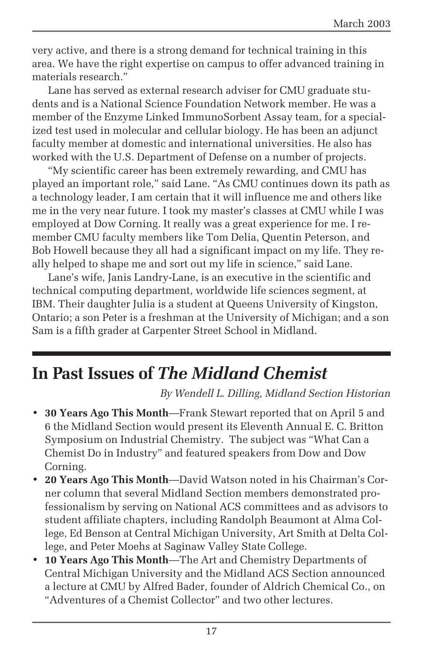very active, and there is a strong demand for technical training in this area. We have the right expertise on campus to offer advanced training in materials research."

Lane has served as external research adviser for CMU graduate students and is a National Science Foundation Network member. He was a member of the Enzyme Linked ImmunoSorbent Assay team, for a specialized test used in molecular and cellular biology. He has been an adjunct faculty member at domestic and international universities. He also has worked with the U.S. Department of Defense on a number of projects.

"My scientific career has been extremely rewarding, and CMU has played an important role," said Lane. "As CMU continues down its path as a technology leader, I am certain that it will influence me and others like me in the very near future. I took my master's classes at CMU while I was employed at Dow Corning. It really was a great experience for me. I remember CMU faculty members like Tom Delia, Quentin Peterson, and Bob Howell because they all had a significant impact on my life. They really helped to shape me and sort out my life in science," said Lane.

Lane's wife, Janis Landry-Lane, is an executive in the scientific and technical computing department, worldwide life sciences segment, at IBM. Their daughter Julia is a student at Queens University of Kingston, Ontario; a son Peter is a freshman at the University of Michigan; and a son Sam is a fifth grader at Carpenter Street School in Midland.

## **In Past Issues of** *The Midland Chemist*

*By Wendell L. Dilling, Midland Section Historian*

- **30 Years Ago This Month**—Frank Stewart reported that on April 5 and 6 the Midland Section would present its Eleventh Annual E. C. Britton Symposium on Industrial Chemistry. The subject was "What Can a Chemist Do in Industry" and featured speakers from Dow and Dow Corning.
- **20 Years Ago This Month**—David Watson noted in his Chairman's Corner column that several Midland Section members demonstrated professionalism by serving on National ACS committees and as advisors to student affiliate chapters, including Randolph Beaumont at Alma College, Ed Benson at Central Michigan University, Art Smith at Delta College, and Peter Moehs at Saginaw Valley State College.
- **10 Years Ago This Month**—The Art and Chemistry Departments of Central Michigan University and the Midland ACS Section announced a lecture at CMU by Alfred Bader, founder of Aldrich Chemical Co., on "Adventures of a Chemist Collector" and two other lectures.